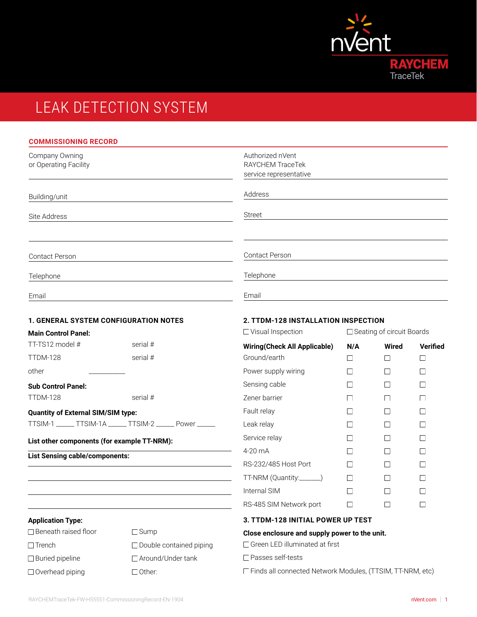

# LEAK DETECTION SYSTEM

| <b>COMMISSIONING RECORD</b>                   |                                                           |                                                                |               |                             |                   |  |
|-----------------------------------------------|-----------------------------------------------------------|----------------------------------------------------------------|---------------|-----------------------------|-------------------|--|
| Company Owning<br>or Operating Facility       |                                                           | Authorized nVent<br>RAYCHEM TraceTek<br>service representative |               |                             |                   |  |
| Building/unit                                 |                                                           | Address                                                        |               |                             |                   |  |
| Site Address                                  |                                                           | <b>Street</b>                                                  |               |                             |                   |  |
| Contact Person                                |                                                           | Contact Person                                                 |               |                             |                   |  |
| Telephone                                     |                                                           | Telephone                                                      |               |                             |                   |  |
| Email                                         |                                                           | Email                                                          |               |                             |                   |  |
| <b>1. GENERAL SYSTEM CONFIGURATION NOTES</b>  |                                                           | 2. TTDM-128 INSTALLATION INSPECTION<br>□ Visual Inspection     |               |                             |                   |  |
| <b>Main Control Panel:</b><br>TT-TS12 model # | serial #                                                  |                                                                |               | □ Seating of circuit Boards |                   |  |
| <b>TTDM-128</b>                               | serial #                                                  | <b>Wiring(Check All Applicable)</b><br>Ground/earth            | N/A<br>$\Box$ | Wired<br>$\Box$             | <b>Verified</b>   |  |
| other                                         |                                                           | Power supply wiring                                            | $\mathsf{L}$  | $\Box$                      | $\mathbf{I}$      |  |
| <b>Sub Control Panel:</b>                     |                                                           | Sensing cable                                                  | $\Box$        | $\Box$                      | $\perp$           |  |
| TTDM-128                                      | serial #                                                  | Zener barrier                                                  | $\perp$       | П                           | $\vert \ \ \vert$ |  |
| <b>Quantity of External SIM/SIM type:</b>     |                                                           | Fault relay                                                    | $\mathsf{L}$  | $\Box$                      |                   |  |
|                                               | TTSIM-1 ______ TTSIM-1A ______ TTSIM-2 ______ Power _____ | Leak relay                                                     | $\perp$       | П                           |                   |  |
| List other components (for example TT-NRM):   |                                                           | Service relay                                                  | $\mathsf{L}$  | $\Box$                      |                   |  |
| <b>List Sensing cable/components:</b>         |                                                           | 4-20 mA                                                        | $\mathsf{L}$  | $\Box$                      |                   |  |
|                                               |                                                           | RS-232/485 Host Port                                           |               |                             |                   |  |
|                                               |                                                           | TT-NRM (Quantity:                                              | П             | $\Box$                      | П                 |  |
|                                               |                                                           | Internal SIM                                                   |               | П                           |                   |  |
|                                               |                                                           | RS-485 SIM Network port                                        | $\perp$       | $\Box$                      | $\mathbf{I}$      |  |
| <b>Application Type:</b>                      |                                                           | 3. TTDM-128 INITIAL POWER UP TEST                              |               |                             |                   |  |
| □ Beneath raised floor                        | $\Box$ Sump                                               | Close enclosure and supply power to the unit.                  |               |                             |                   |  |
| $\Box$ Trench                                 | □ Double contained piping                                 | □ Green LED illuminated at first                               |               |                             |                   |  |

□ Overhead piping □ Other:

 $\Box$  Buried pipeline  $\Box$  Around/Under tank

Finds all connected Network Modules, (TTSIM, TT-NRM, etc)

Passes self-tests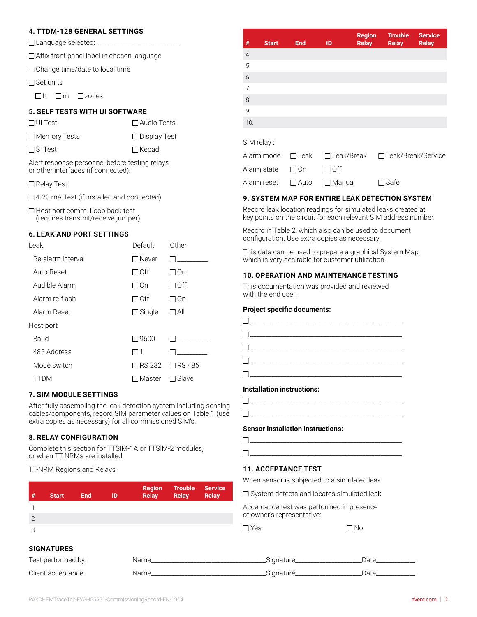#### **4. TTDM-128 GENERAL SETTINGS**

| □ Language selected: |  |
|----------------------|--|
|                      |  |

□ Affix front panel label in chosen language

□ Change time/date to local time

 $\Box$  Set units

 $\Box$ ft  $\Box$ m  $\Box$ zones

#### **5. SELF TESTS WITH UI SOFTWARE**

| $\Box$ UI Test      | $\Box$ Audio Tests  |
|---------------------|---------------------|
| $\Box$ Memory Tests | $\Box$ Display Test |
| $\Box$ SI Test      | $\Box$ Kepad        |

Alert response personnel before testing relays or other interfaces (if connected):

□ Relay Test

□ 4-20 mA Test (if installed and connected)

 $\Box$  Host port comm. Loop back test (requires transmit/receive jumper)

#### **6. LEAK AND PORT SETTINGS**

| Leak              | Default       | Other           |
|-------------------|---------------|-----------------|
| Re-alarm interval | $\Box$ Never  |                 |
| Auto-Reset        | $\Box$ Off    | ⊟ On            |
| Audible Alarm     | ⊟On           | □ Off           |
| Alarm re-flash    | $\Box$ Off    | □ On            |
| Alarm Reset       | $\Box$ Single | □ All           |
| Host port         |               |                 |
| Baud              | □9600         |                 |
| 485 Address       | 1             |                 |
| Mode switch       | $\Box$ RS 232 | <b>□ RS 485</b> |
| TDM               | Master        | Slave           |

#### **7. SIM MODULE SETTINGS**

After fully assembling the leak detection system including sensing cables/components, record SIM parameter values on Table 1 (use extra copies as necessary) for all commissioned SIM's.

#### **8. RELAY CONFIGURATION**

Complete this section for TTSIM-1A or TTSIM-2 modules, or when TT-NRMs are installed.

TT-NRM Regions and Relays:

| #              | <b>Start</b>      | <b>End</b> | ID | <b>Region</b><br><b>Relay</b> | <b>Trouble</b><br><b>Relay</b> | <b>Service</b><br><b>Relay</b> |
|----------------|-------------------|------------|----|-------------------------------|--------------------------------|--------------------------------|
|                |                   |            |    |                               |                                |                                |
| $\overline{2}$ |                   |            |    |                               |                                |                                |
| 3              |                   |            |    |                               |                                |                                |
|                | <b>SIGNATURES</b> |            |    |                               |                                |                                |

| Test performed by: | Name | Sianature | ء†د۱ |
|--------------------|------|-----------|------|
| Client acceptance: | Name | Sianature |      |

| #                | <b>Start</b> | <b>End</b>  | ID                | <b>Region</b><br><b>Relay</b> | <b>Trouble</b><br><b>Relay</b> | <b>Service</b><br><b>Relay</b> |
|------------------|--------------|-------------|-------------------|-------------------------------|--------------------------------|--------------------------------|
| $\overline{4}$   |              |             |                   |                               |                                |                                |
| 5                |              |             |                   |                               |                                |                                |
| $\boldsymbol{6}$ |              |             |                   |                               |                                |                                |
| $\overline{7}$   |              |             |                   |                               |                                |                                |
| 8                |              |             |                   |                               |                                |                                |
| 9                |              |             |                   |                               |                                |                                |
| 10.              |              |             |                   |                               |                                |                                |
|                  | SIM relay:   |             |                   |                               |                                |                                |
|                  | Alarm mode   | $\Box$ Leak | $\Box$ Leak/Break |                               | □ Leak/Break/Service           |                                |
|                  | Alarm state  | ∣On         | Off               |                               |                                |                                |

#### **9. SYSTEM MAP FOR ENTIRE LEAK DETECTION SYSTEM**

Record leak location readings for simulated leaks created at key points on the circuit for each relevant SIM address number.

Record in Table 2, which also can be used to document configuration. Use extra copies as necessary.

Alarm reset  $\Box$  Auto  $\Box$  Manual  $\Box$  Safe

This data can be used to prepare a graphical System Map, which is very desirable for customer utilization.

#### **10. OPERATION AND MAINTENANCE TESTING**

This documentation was provided and reviewed with the end user:

#### **Project specific documents:**

| $\Box$ . The contract of the contract of $\Box$ |  |
|-------------------------------------------------|--|

#### **Installation instructions:**

#### **Sensor installation instructions:**

| ___________________________ |  |
|-----------------------------|--|

#### **11. ACCEPTANCE TEST**

When sensor is subjected to a simulated leak

□ System detects and locates simulated leak

Acceptance test was performed in presence of owner's representative:

 $\Box$  Yes  $\Box$  No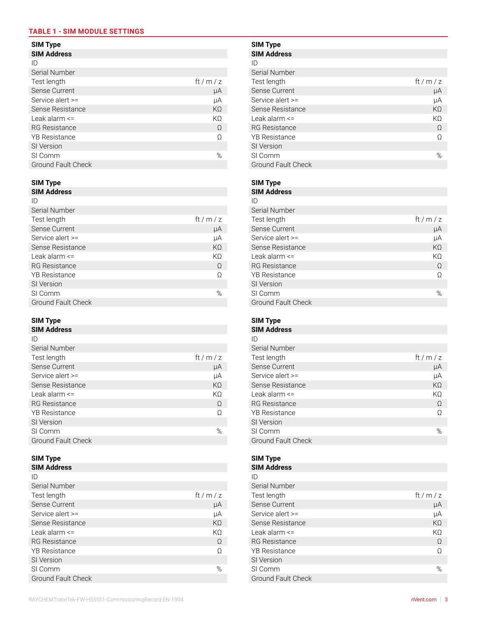### **TABLE 1 - SIM MODULE SETTINGS**

| <b>SIM Address</b>   |        | <b>SIM Address</b>   |            |
|----------------------|--------|----------------------|------------|
| ID                   |        | ID                   |            |
| Serial Number        |        | Serial Number        |            |
| Test length          | ft/m/z | Test length          | ft / m / z |
| Sense Current        | μA     | Sense Current        | μA         |
| Service alert >=     | μA     | Service alert $>=$   | μA         |
| Sense Resistance     | KΩ     | Sense Resistance     | $K\Omega$  |
| Leak alarm $\leq$    | KΩ     | Leak alarm <=        | KΩ         |
| <b>RG</b> Resistance | Ω      | <b>RG</b> Resistance | Ω          |
| <b>YB</b> Resistance | Ω      | <b>YB</b> Resistance | Ω          |
| SI Version           |        | SI Version           |            |
| SI Comm              | %      | SI Comm              | %          |
| Ground Fault Check   |        | Ground Fault Check   |            |

#### **SIM Type SIM Type**

| <b>SIM Address</b>        |        | <b>SIM Address</b>        |            |
|---------------------------|--------|---------------------------|------------|
| ID                        |        | ID                        |            |
| Serial Number             |        | Serial Number             |            |
| Test length               | ft/m/z | Test length               | ft / m / z |
| Sense Current             | μA     | Sense Current             | μA         |
| Service alert >=          | μA     | Service alert >=          | μA         |
| Sense Resistance          | KΩ     | Sense Resistance          | $K\Omega$  |
| Leak alarm $\leq$         | ΚΩ     | Leak alarm <=             | $K\Omega$  |
| <b>RG</b> Resistance      | Ω      | <b>RG</b> Resistance      | Ω          |
| <b>YB</b> Resistance      | Ω      | <b>YB</b> Resistance      | Ω          |
| SI Version                |        | SI Version                |            |
| SI Comm                   | %      | SI Comm                   | %          |
| <b>Ground Fault Check</b> |        | <b>Ground Fault Check</b> |            |

## **SIM Address SIM Address**

| ID                        |           | ID                        |            |
|---------------------------|-----------|---------------------------|------------|
| Serial Number             |           | Serial Number             |            |
| Test length               | ft/m/z    | Test length               | ft / m / z |
| Sense Current             | μA        | Sense Current             | μA         |
| Service alert >=          | μA        | Service alert >=          | μA         |
| Sense Resistance          | $K\Omega$ | Sense Resistance          | $K\Omega$  |
| Leak alarm $\leq$         | KΩ        | Leak alarm <=             | $K\Omega$  |
| <b>RG</b> Resistance      | Ω         | <b>RG</b> Resistance      | Ω          |
| <b>YB</b> Resistance      | Ω         | <b>YB</b> Resistance      | Ω          |
| SI Version                |           | SI Version                |            |
| SI Comm                   | %         | SI Comm                   | %          |
| <b>Ground Fault Check</b> |           | <b>Ground Fault Check</b> |            |
|                           |           |                           |            |

| <b>SIM Address</b>        |        | <b>SIM Address</b>        |            |
|---------------------------|--------|---------------------------|------------|
| ID                        |        | ID                        |            |
| Serial Number             |        | Serial Number             |            |
| Test length               | ft/m/z | Test length               | ft / m / z |
| Sense Current             | μA     | Sense Current             | μA         |
| Service alert >=          | μA     | Service alert >=          | μA         |
| Sense Resistance          | KΩ     | Sense Resistance          | $K\Omega$  |
| Leak alarm <=             | ΚΩ     | Leak alarm <=             | $K\Omega$  |
| <b>RG</b> Resistance      | Ω      | <b>RG</b> Resistance      | Ω          |
| <b>YB</b> Resistance      | Ω      | <b>YB Resistance</b>      | Ω          |
| SI Version                |        | SI Version                |            |
| SI Comm                   | %      | SI Comm                   | %          |
| <b>Ground Fault Check</b> |        | <b>Ground Fault Check</b> |            |

## **SIM Type SIM Type SIM Address**<br> **ID** Serial Number Sense Current μA Sense Current μA Service alert >= μA Service alert >= μA Sense Resistance RG Resistance Ω RG Resistance Ω YB Resistance Ω YB Resistance Ω SI Version<br>SI Comm Ground Fault Check

| M Address    |  |
|--------------|--|
|              |  |
| icial Numbor |  |

| Serial Number        |        |
|----------------------|--------|
| Test length          | ft/m/z |
| Sense Current        | μA     |
| Service alert $>=$   | μA     |
| Sense Resistance     | KO     |
| Leak alarm $\leq$    | ΚO     |
| <b>RG</b> Resistance | Ω      |
| <b>YB</b> Resistance | Ω      |
| SI Version           |        |
| SI Comm              | ℅      |
| Ground Fault Check   |        |

### **SIM Type SIM Type**

| II)                       |        |
|---------------------------|--------|
| Serial Number             |        |
| Test length               | ft/m/z |
| Sense Current             | μA     |
| Service alert $>=$        | μA     |
| Sense Resistance          | KQ     |
| Leak alarm $\le$          | KO     |
| <b>RG</b> Resistance      | Ω      |
| <b>YB</b> Resistance      | Ω      |
| SI Version                |        |
| SI Comm                   | ℅      |
| <b>Ground Fault Check</b> |        |

## **SIM Type SIM Type**

**SIM Address SIM Address**

| 1 L.J                     |        |
|---------------------------|--------|
| Serial Number             |        |
| Test length               | ft/m/z |
| Sense Current             | μA     |
| Service alert >=          | μA     |
| Sense Resistance          | KΩ     |
| Leak alarm $\leq$         | ΚO     |
| <b>RG</b> Resistance      | Ω      |
| <b>YB</b> Resistance      | Ω      |
| SI Version                |        |
| SI Comm                   | ℅      |
| <b>Ground Fault Check</b> |        |